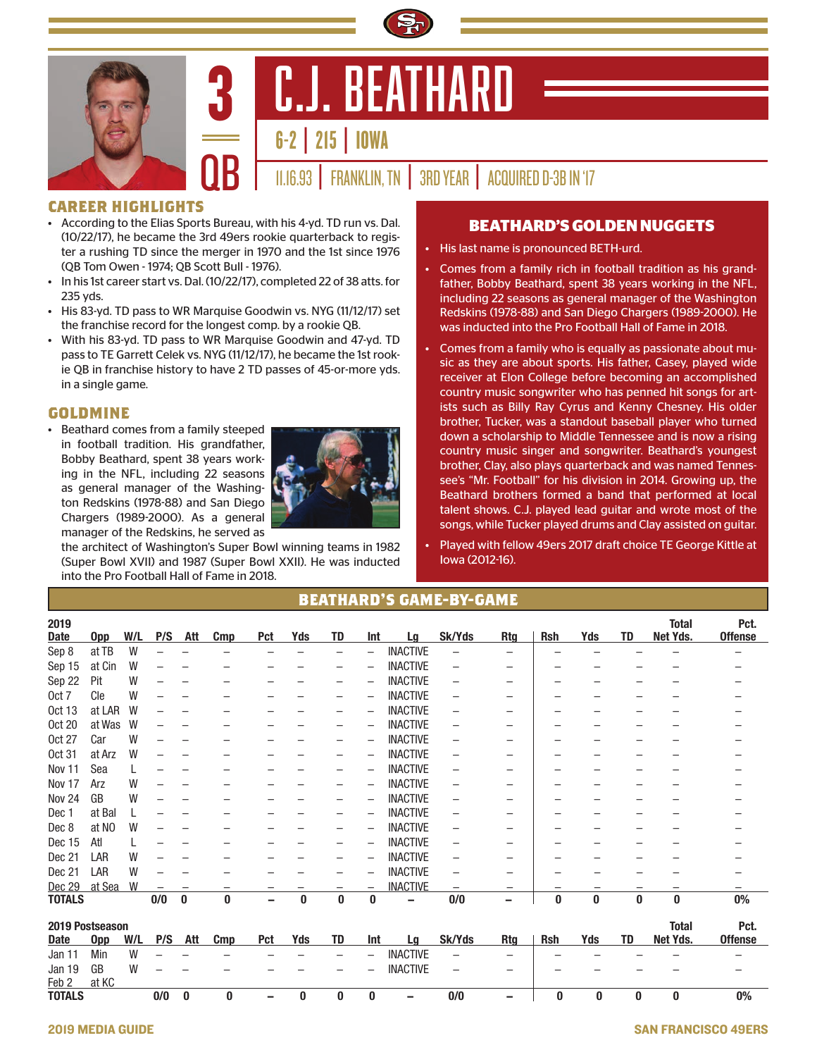



6-2 | 215 | IOWA

11.16.93 | FRANKLIN, TN | 3RD YEAR | ACQUIRED D-3B IN '17

## **CAREER HIGHLIGHTS**

• According to the Elias Sports Bureau, with his 4-yd. TD run vs. Dal. (10/22/17), he became the 3rd 49ers rookie quarterback to register a rushing TD since the merger in 1970 and the 1st since 1976 (QB Tom Owen - 1974; QB Scott Bull - 1976).

3

- In his 1st career start vs. Dal. (10/22/17), completed 22 of 38 atts. for 235 yds.
- His 83-yd. TD pass to WR Marquise Goodwin vs. NYG (11/12/17) set the franchise record for the longest comp. by a rookie QB.
- With his 83-yd. TD pass to WR Marquise Goodwin and 47-yd. TD pass to TE Garrett Celek vs. NYG (11/12/17), he became the 1st rookie QB in franchise history to have 2 TD passes of 45-or-more yds. in a single game.

## **GOLDMINE**

• Beathard comes from a family steeped in football tradition. His grandfather, Bobby Beathard, spent 38 years working in the NFL, including 22 seasons as general manager of the Washington Redskins (1978-88) and San Diego Chargers (1989-2000). As a general manager of the Redskins, he served as



the architect of Washington's Super Bowl winning teams in 1982 (Super Bowl XVII) and 1987 (Super Bowl XXII). He was inducted into the Pro Football Hall of Fame in 2018.

## **BEATHARD'S GOLDEN NUGGETS**

- His last name is pronounced BETH-urd.
- Comes from a family rich in football tradition as his grandfather, Bobby Beathard, spent 38 years working in the NFL, including 22 seasons as general manager of the Washington Redskins (1978-88) and San Diego Chargers (1989-2000). He was inducted into the Pro Football Hall of Fame in 2018.
- Comes from a family who is equally as passionate about music as they are about sports. His father, Casey, played wide receiver at Elon College before becoming an accomplished country music songwriter who has penned hit songs for artists such as Billy Ray Cyrus and Kenny Chesney. His older brother, Tucker, was a standout baseball player who turned down a scholarship to Middle Tennessee and is now a rising country music singer and songwriter. Beathard's youngest brother, Clay, also plays quarterback and was named Tennessee's "Mr. Football" for his division in 2014. Growing up, the Beathard brothers formed a band that performed at local talent shows. C.J. played lead guitar and wrote most of the songs, while Tucker played drums and Clay assisted on guitar.
- Played with fellow 49ers 2017 draft choice TE George Kittle at Iowa (2012-16).

| 2019<br><b>Date</b> | $_{\text{Opp}}$ | W/L | P/S | Att      | <b>Cmp</b> | Pct | Yds | <b>TD</b> | Int | Lg              | Sk/Yds                   | <b>Rtg</b> | <b>Rsh</b> | Yds | <b>TD</b>    | <b>Total</b><br>Net Yds. | Pct.<br><b>Offense</b> |
|---------------------|-----------------|-----|-----|----------|------------|-----|-----|-----------|-----|-----------------|--------------------------|------------|------------|-----|--------------|--------------------------|------------------------|
| Sep 8               | at TB           | W   |     |          |            |     |     | -         | -   | <b>INACTIVE</b> | $\overline{\phantom{0}}$ |            |            |     |              |                          |                        |
| Sep 15              | at Cin          | W   |     |          |            |     |     | -         | -   | <b>INACTIVE</b> | -                        | -          |            |     |              |                          |                        |
| Sep 22              | Pit             | W   |     |          |            |     |     |           | -   | <b>INACTIVE</b> | $\overline{\phantom{0}}$ | -          |            |     |              |                          |                        |
| Oct 7               | Cle             | W   |     |          |            |     |     | -         | -   | <b>INACTIVE</b> | $\overline{\phantom{0}}$ | -          |            |     |              |                          |                        |
| <b>Oct 13</b>       | at LAR          | W   |     |          |            |     |     | -         | -   | <b>INACTIVE</b> | -                        | -          |            |     |              |                          |                        |
| <b>Oct 20</b>       | at Was          | W   |     |          |            |     |     |           | -   | <b>INACTIVE</b> | $\qquad \qquad -$        | -          |            |     |              |                          |                        |
| <b>Oct 27</b>       | Car             | W   |     |          |            |     |     |           | -   | <b>INACTIVE</b> | -                        | -          |            |     |              |                          |                        |
| <b>Oct 31</b>       | at Arz          | W   |     |          |            |     |     |           | -   | <b>INACTIVE</b> | -                        | -          |            |     |              |                          |                        |
| Nov 11              | Sea             |     |     |          |            |     |     |           | -   | <b>INACTIVE</b> | -                        | -          |            |     |              |                          |                        |
| Nov 17              | Arz             | W   |     |          |            |     |     |           | -   | <b>INACTIVE</b> | -                        | -          |            |     |              |                          |                        |
| <b>Nov 24</b>       | GB              | W   |     |          |            |     |     |           | ۳   | <b>INACTIVE</b> | -                        | -          |            |     |              |                          |                        |
| Dec 1               | at Bal          |     |     |          |            |     |     |           | -   | <b>INACTIVE</b> | -                        | -          |            |     |              |                          |                        |
| Dec 8               | at NO           | W   |     |          |            |     |     |           | -   | <b>INACTIVE</b> | -                        | -          |            |     |              |                          |                        |
| Dec 15              | Atl             |     |     |          |            |     |     |           | -   | <b>INACTIVE</b> | -                        | -          |            |     |              |                          |                        |
| Dec 21              | LAR             | W   |     |          |            |     |     |           | -   | <b>INACTIVE</b> | -                        | -          |            |     |              |                          |                        |
| Dec 21              | LAR             | W   |     |          |            |     |     |           |     | <b>INACTIVE</b> | -                        |            |            |     |              |                          |                        |
| Dec 29              | at Sea          | W   |     |          | -          |     |     |           | -   | <b>INACTIVE</b> | $\overline{\phantom{0}}$ | -          |            |     |              |                          |                        |
| <b>TOTALS</b>       |                 |     | 0/0 | $\bf{0}$ | $\bf{0}$   |     | 0   | $\bf{0}$  | 0   |                 | 0/0                      | -          | 0          | 0   | 0            | $\bf{0}$                 | $0\%$                  |
| 2019 Postseason     |                 |     |     |          |            |     |     |           |     |                 |                          |            |            |     | <b>Total</b> | Pct.                     |                        |
| <b>Date</b>         | <b>Opp</b>      | W/L | P/S | Att      | Cmp        | Pct | Yds | <b>TD</b> | Int | Lg              | Sk/Yds                   | <b>Rtg</b> | <b>Rsh</b> | Yds | TD           | Net Yds.                 | <b>Offense</b>         |
| Jan 11              | Min             | W   |     |          |            |     |     |           | -   | <b>INACTIVE</b> | $\overline{\phantom{0}}$ | -          |            |     |              |                          |                        |
| Jan 19              | GB              | W   |     |          |            |     |     |           |     | <b>INACTIVE</b> | -                        | -          |            |     |              |                          |                        |
| Feb 2               | at KC           |     |     |          |            |     |     |           |     |                 |                          |            |            |     |              |                          |                        |
| <b>TOTALS</b>       |                 |     | 0/0 | 0        | 0          | -   | 0   | 0         | 0   | -               | 0/0                      | -          | 0          | 0   | 0            | 0                        | $0\%$                  |

## **BEATHARD'S GAME-BY-GAME**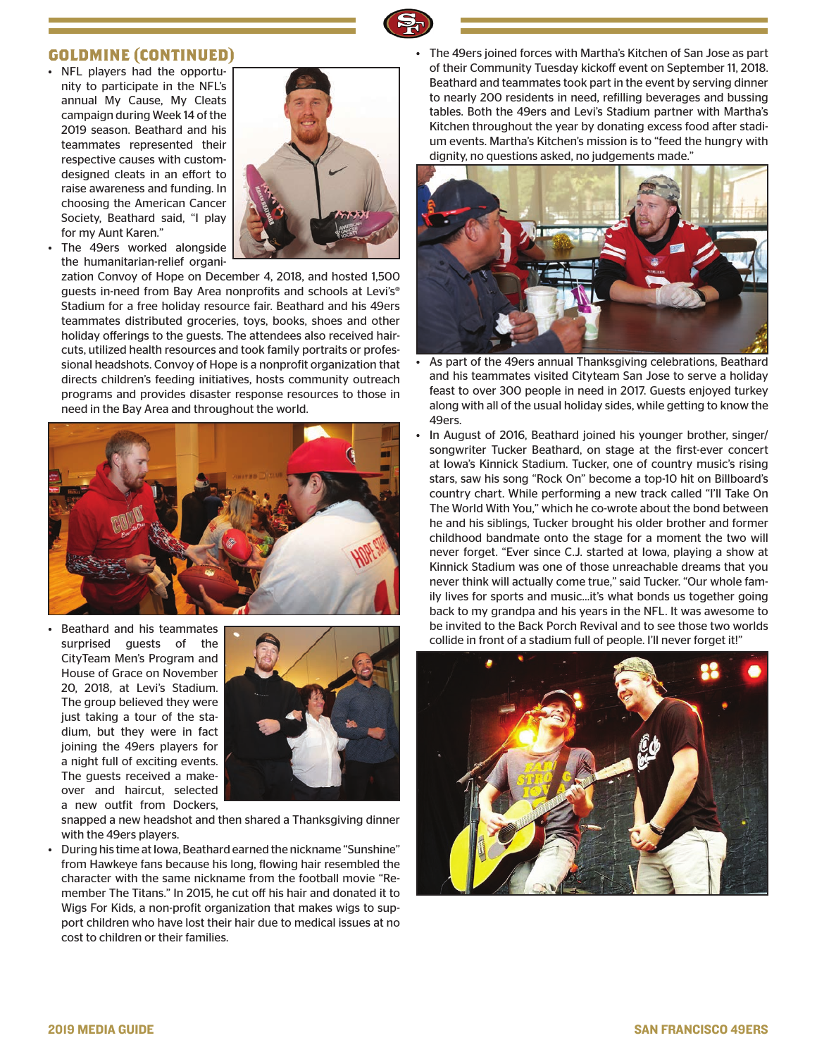

### **GOLDMINE (CONTINUED)**

• NFL players had the opportunity to participate in the NFL's annual My Cause, My Cleats campaign during Week 14 of the 2019 season. Beathard and his teammates represented their respective causes with customdesigned cleats in an effort to raise awareness and funding. In choosing the American Cancer Society, Beathard said, "I play for my Aunt Karen."



The 49ers worked alongside the humanitarian-relief organi-

zation Convoy of Hope on December 4, 2018, and hosted 1,500 guests in-need from Bay Area nonprofits and schools at Levi's® Stadium for a free holiday resource fair. Beathard and his 49ers teammates distributed groceries, toys, books, shoes and other holiday offerings to the guests. The attendees also received haircuts, utilized health resources and took family portraits or professional headshots. Convoy of Hope is a nonprofit organization that directs children's feeding initiatives, hosts community outreach programs and provides disaster response resources to those in need in the Bay Area and throughout the world.



• Beathard and his teammates surprised guests of the CityTeam Men's Program and House of Grace on November 20, 2018, at Levi's Stadium. The group believed they were just taking a tour of the stadium, but they were in fact joining the 49ers players for a night full of exciting events. The guests received a makeover and haircut, selected a new outfit from Dockers,



snapped a new headshot and then shared a Thanksgiving dinner with the 49ers players.

• During his time at Iowa, Beathard earned the nickname "Sunshine" from Hawkeye fans because his long, flowing hair resembled the character with the same nickname from the football movie "Remember The Titans." In 2015, he cut off his hair and donated it to Wigs For Kids, a non-profit organization that makes wigs to support children who have lost their hair due to medical issues at no cost to children or their families.

• The 49ers joined forces with Martha's Kitchen of San Jose as part of their Community Tuesday kickoff event on September 11, 2018. Beathard and teammates took part in the event by serving dinner to nearly 200 residents in need, refilling beverages and bussing tables. Both the 49ers and Levi's Stadium partner with Martha's Kitchen throughout the year by donating excess food after stadium events. Martha's Kitchen's mission is to "feed the hungry with dignity, no questions asked, no judgements made."



- As part of the 49ers annual Thanksgiving celebrations, Beathard and his teammates visited Cityteam San Jose to serve a holiday feast to over 300 people in need in 2017. Guests enjoyed turkey along with all of the usual holiday sides, while getting to know the 49ers.
- In August of 2016, Beathard joined his younger brother, singer/ songwriter Tucker Beathard, on stage at the first-ever concert at Iowa's Kinnick Stadium. Tucker, one of country music's rising stars, saw his song "Rock On" become a top-10 hit on Billboard's country chart. While performing a new track called "I'll Take On The World With You," which he co-wrote about the bond between he and his siblings, Tucker brought his older brother and former childhood bandmate onto the stage for a moment the two will never forget. "Ever since C.J. started at Iowa, playing a show at Kinnick Stadium was one of those unreachable dreams that you never think will actually come true," said Tucker. "Our whole family lives for sports and music…it's what bonds us together going back to my grandpa and his years in the NFL. It was awesome to be invited to the Back Porch Revival and to see those two worlds collide in front of a stadium full of people. I'll never forget it!"

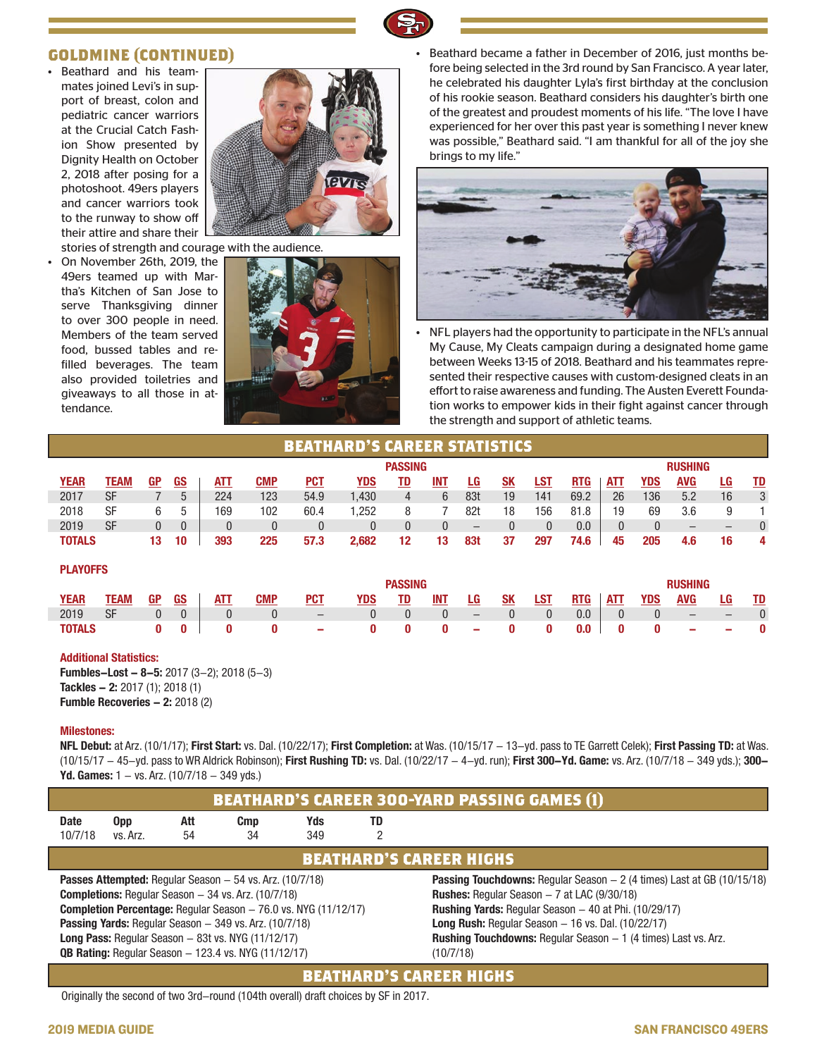## **GOLDMINE (CONTINUED)**

• Beathard and his teammates joined Levi's in support of breast, colon and pediatric cancer warriors at the Crucial Catch Fashion Show presented by Dignity Health on October 2, 2018 after posing for a photoshoot. 49ers players and cancer warriors took to the runway to show off their attire and share their



stories of strength and courage with the audience.

• On November 26th, 2019, the 49ers teamed up with Martha's Kitchen of San Jose to serve Thanksgiving dinner to over 300 people in need. Members of the team served food, bussed tables and refilled beverages. The team also provided toiletries and giveaways to all those in attendance.



• Beathard became a father in December of 2016, just months before being selected in the 3rd round by San Francisco. A year later, he celebrated his daughter Lyla's first birthday at the conclusion of his rookie season. Beathard considers his daughter's birth one of the greatest and proudest moments of his life. "The love I have experienced for her over this past year is something I never knew was possible," Beathard said. "I am thankful for all of the joy she brings to my life."



• NFL players had the opportunity to participate in the NFL's annual My Cause, My Cleats campaign during a designated home game between Weeks 13-15 of 2018. Beathard and his teammates represented their respective causes with custom-designed cleats in an effort to raise awareness and funding. The Austen Everett Foundation works to empower kids in their fight against cancer through the strength and support of athletic teams.

| <b>BEATHARD'S CAREER STATISTICS</b> |             |              |                |              |            |                          |              |                |              |                   |                |              |            |              |                |                                 |                        |           |  |  |
|-------------------------------------|-------------|--------------|----------------|--------------|------------|--------------------------|--------------|----------------|--------------|-------------------|----------------|--------------|------------|--------------|----------------|---------------------------------|------------------------|-----------|--|--|
| <b>PASSING</b>                      |             |              |                |              |            |                          |              |                |              |                   |                |              |            |              | <b>RUSHING</b> |                                 |                        |           |  |  |
| <b>YEAR</b>                         | <b>TEAM</b> | GP           | <u>GS</u>      | ATT          | <b>CMP</b> | <u>PCT</u>               | <u>YDS</u>   | <u>TD</u>      | INT          | <u>LG</u>         | <u>SK</u>      | <u>LST</u>   | <b>RTG</b> | <b>ATT</b>   | YDS            | <b>AVG</b>                      | <u>LG</u>              | <u>TD</u> |  |  |
| 2017                                | <b>SF</b>   |              | 5              | 224          | 123        | 54.9                     | 1,430        | $\overline{4}$ | 6            | 83t               | 19             | 141          | 69.2       | 26           | 136            | 5.2                             | 16                     | 3         |  |  |
| 2018                                | <b>SF</b>   | 6            | 5              | 169          | 102        | 60.4                     | 1,252        | 8              |              | 82t               | 18             | 156          | 81.8       | 19           | 69             | 3.6                             | 9                      |           |  |  |
| 2019                                | <b>SF</b>   | $\mathbf{0}$ | $\overline{0}$ | $\mathbf{0}$ | $\theta$   | 0                        | $\mathbf{0}$ | $\theta$       | $\mathbf{0}$ | $\qquad \qquad -$ | 0              | $\mathbf{0}$ | 0.0        | $\mathbf{0}$ | $\theta$       | $\qquad \qquad -$               | $\qquad \qquad \qquad$ | $\theta$  |  |  |
| <b>TOTALS</b>                       |             | 13           | 10             | 393          | 225        | 57.3                     | 2,682        | 12             | 13           | 83t               | 37             | 297          | 74.6       | 45           | 205            | 4.6                             | 16                     | 4         |  |  |
|                                     |             |              |                |              |            |                          |              |                |              |                   |                |              |            |              |                |                                 |                        |           |  |  |
| <b>PLAYOFFS</b>                     |             |              |                |              |            |                          |              |                |              |                   |                |              |            |              |                |                                 |                        |           |  |  |
| <b>PASSING</b>                      |             |              |                |              |            |                          |              |                |              |                   | <b>RUSHING</b> |              |            |              |                |                                 |                        |           |  |  |
| <b>YEAR</b>                         | <b>TEAM</b> | GP           | <b>GS</b>      | ATT          | <b>CMP</b> | <b>PCT</b>               | YDS          | TD             | INT          | LG                | <b>SK</b>      | <b>LST</b>   | <b>RTG</b> | <b>ATT</b>   | YDS            | <b>AVG</b>                      | LG                     | <u>TD</u> |  |  |
| 2019                                | <b>SF</b>   | $\mathbf{0}$ | $\theta$       | $\mathbf{0}$ | $\theta$   | $\overline{\phantom{0}}$ | $\mathbf{0}$ | $\mathbf{0}$   | $\mathbf{0}$ | $\qquad \qquad -$ | $\theta$       | $\mathbf{0}$ | 0.0        | $\mathbf{0}$ | $\mathbf{0}$   | $\qquad \qquad - \qquad \qquad$ | $\qquad \qquad \qquad$ | $\theta$  |  |  |
| <b>TOTALS</b>                       |             | 0            | 0              | 0            | 0          | -                        | 0            | 0              | 0            | -                 | 0              | 0            | 0.0        | $\bf{0}$     | 0              |                                 |                        | 0         |  |  |
|                                     |             |              |                |              |            |                          |              |                |              |                   |                |              |            |              |                |                                 |                        |           |  |  |
|                                     |             |              |                |              |            |                          |              |                |              |                   |                |              |            |              |                |                                 |                        |           |  |  |

#### **Additional Statistics:**

**Fumbles-Lost - 8-5:** 2017 (3-2); 2018 (5-3) **Tackles - 2:** 2017 (1); 2018 (1) **Fumble Recoveries - 2: 2018 (2)** 

#### **Milestones:**

**NFL Debut:** at Arz. (10/1/17); **First Start:** vs. Dal. (10/22/17); **First Completion:** at Was. (10/15/17 - 13-yd. pass to TE Garrett Celek); **First Passing TD:** at Was. (10/15/17 - 45-yd. pass to WR Aldrick Robinson); **First Rushing TD:** vs. Dal. (10/22/17 - 4-yd. run); **First 300-Yd. Game:** vs. Arz. (10/7/18 - 349 yds.); **300- Yd. Games:**  $1 - vs. Arz.$  (10/7/18  $- 349$  yds.)



Originally the second of two 3rd-round (104th overall) draft choices by SF in 2017.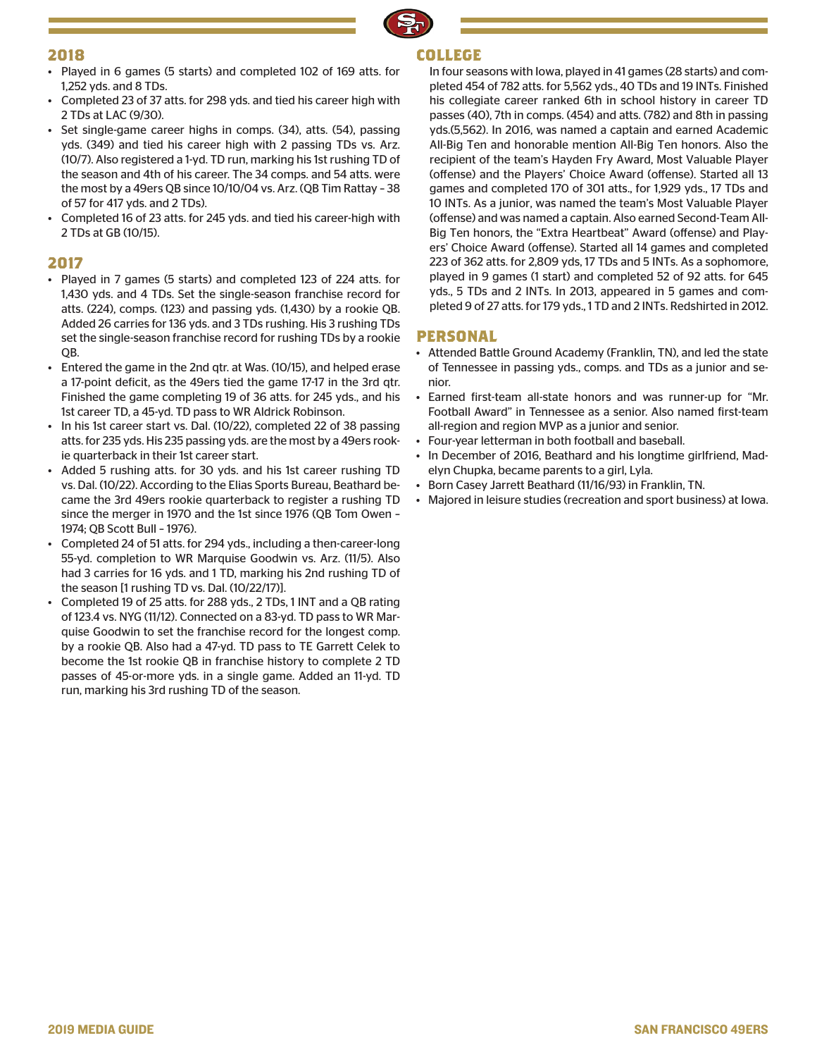

## **2018**

- Played in 6 games (5 starts) and completed 102 of 169 atts. for 1,252 yds. and 8 TDs.
- Completed 23 of 37 atts. for 298 yds. and tied his career high with 2 TDs at LAC (9/30).
- Set single-game career highs in comps. (34), atts. (54), passing yds. (349) and tied his career high with 2 passing TDs vs. Arz. (10/7). Also registered a 1-yd. TD run, marking his 1st rushing TD of the season and 4th of his career. The 34 comps. and 54 atts. were the most by a 49ers QB since 10/10/04 vs. Arz. (QB Tim Rattay – 38 of 57 for 417 yds. and 2 TDs).
- Completed 16 of 23 atts. for 245 yds. and tied his career-high with 2 TDs at GB (10/15).

## **2017**

- Played in 7 games (5 starts) and completed 123 of 224 atts. for 1,430 yds. and 4 TDs. Set the single-season franchise record for atts. (224), comps. (123) and passing yds. (1,430) by a rookie QB. Added 26 carries for 136 yds. and 3 TDs rushing. His 3 rushing TDs set the single-season franchise record for rushing TDs by a rookie  $OB.$
- Entered the game in the 2nd qtr. at Was. (10/15), and helped erase a 17-point deficit, as the 49ers tied the game 17-17 in the 3rd qtr. Finished the game completing 19 of 36 atts. for 245 yds., and his 1st career TD, a 45-yd. TD pass to WR Aldrick Robinson.
- In his 1st career start vs. Dal. (10/22), completed 22 of 38 passing atts. for 235 yds. His 235 passing yds. are the most by a 49ers rookie quarterback in their 1st career start.
- Added 5 rushing atts. for 30 yds. and his 1st career rushing TD vs. Dal. (10/22). According to the Elias Sports Bureau, Beathard became the 3rd 49ers rookie quarterback to register a rushing TD since the merger in 1970 and the 1st since 1976 (QB Tom Owen – 1974; QB Scott Bull – 1976).
- Completed 24 of 51 atts. for 294 yds., including a then-career-long 55-yd. completion to WR Marquise Goodwin vs. Arz. (11/5). Also had 3 carries for 16 yds. and 1 TD, marking his 2nd rushing TD of the season [1 rushing TD vs. Dal. (10/22/17)].
- Completed 19 of 25 atts. for 288 yds., 2 TDs, 1 INT and a QB rating of 123.4 vs. NYG (11/12). Connected on a 83-yd. TD pass to WR Marquise Goodwin to set the franchise record for the longest comp. by a rookie QB. Also had a 47-yd. TD pass to TE Garrett Celek to become the 1st rookie QB in franchise history to complete 2 TD passes of 45-or-more yds. in a single game. Added an 11-yd. TD run, marking his 3rd rushing TD of the season.

## **COLLEGE**

In four seasons with Iowa, played in 41 games (28 starts) and completed 454 of 782 atts. for 5,562 yds., 40 TDs and 19 INTs. Finished his collegiate career ranked 6th in school history in career TD passes (40), 7th in comps. (454) and atts. (782) and 8th in passing yds.(5,562). In 2016, was named a captain and earned Academic All-Big Ten and honorable mention All-Big Ten honors. Also the recipient of the team's Hayden Fry Award, Most Valuable Player (offense) and the Players' Choice Award (offense). Started all 13 games and completed 170 of 301 atts., for 1,929 yds., 17 TDs and 10 INTs. As a junior, was named the team's Most Valuable Player (offense) and was named a captain. Also earned Second-Team All-Big Ten honors, the "Extra Heartbeat" Award (offense) and Players' Choice Award (offense). Started all 14 games and completed 223 of 362 atts. for 2,809 yds, 17 TDs and 5 INTs. As a sophomore, played in 9 games (1 start) and completed 52 of 92 atts. for 645 yds., 5 TDs and 2 INTs. In 2013, appeared in 5 games and completed 9 of 27 atts. for 179 yds., 1 TD and 2 INTs. Redshirted in 2012.

## **PERSONAL**

- Attended Battle Ground Academy (Franklin, TN), and led the state of Tennessee in passing yds., comps. and TDs as a junior and senior.
- Earned first-team all-state honors and was runner-up for "Mr. Football Award" in Tennessee as a senior. Also named first-team all-region and region MVP as a junior and senior.
- Four-year letterman in both football and baseball.
- In December of 2016, Beathard and his longtime girlfriend, Madelyn Chupka, became parents to a girl, Lyla.
- Born Casey Jarrett Beathard (11/16/93) in Franklin, TN.
- Majored in leisure studies (recreation and sport business) at Iowa.